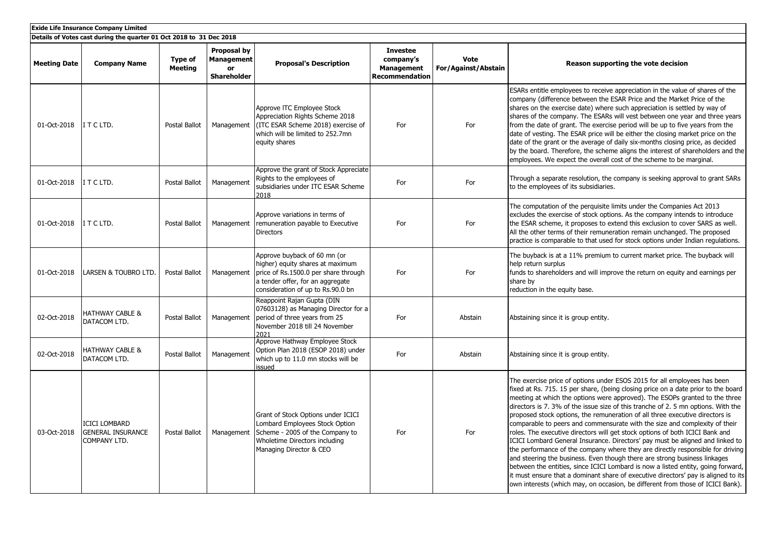| <b>Exide Life Insurance Company Limited</b>                         |                                                                         |                           |                                                              |                                                                                                                                                                                   |                                                                            |                                    |                                                                                                                                                                                                                                                                                                                                                                                                                                                                                                                                                                                                                                                                                                                                                                                                                                                                                                                                                                                                                                                                                           |  |
|---------------------------------------------------------------------|-------------------------------------------------------------------------|---------------------------|--------------------------------------------------------------|-----------------------------------------------------------------------------------------------------------------------------------------------------------------------------------|----------------------------------------------------------------------------|------------------------------------|-------------------------------------------------------------------------------------------------------------------------------------------------------------------------------------------------------------------------------------------------------------------------------------------------------------------------------------------------------------------------------------------------------------------------------------------------------------------------------------------------------------------------------------------------------------------------------------------------------------------------------------------------------------------------------------------------------------------------------------------------------------------------------------------------------------------------------------------------------------------------------------------------------------------------------------------------------------------------------------------------------------------------------------------------------------------------------------------|--|
| Details of Votes cast during the quarter 01 Oct 2018 to 31 Dec 2018 |                                                                         |                           |                                                              |                                                                                                                                                                                   |                                                                            |                                    |                                                                                                                                                                                                                                                                                                                                                                                                                                                                                                                                                                                                                                                                                                                                                                                                                                                                                                                                                                                                                                                                                           |  |
| <b>Meeting Date</b>                                                 | <b>Company Name</b>                                                     | Type of<br><b>Meeting</b> | Proposal by<br><b>Management</b><br>or<br><b>Shareholder</b> | <b>Proposal's Description</b>                                                                                                                                                     | <b>Investee</b><br>company's<br><b>Management</b><br><b>Recommendation</b> | <b>Vote</b><br>For/Against/Abstain | Reason supporting the vote decision                                                                                                                                                                                                                                                                                                                                                                                                                                                                                                                                                                                                                                                                                                                                                                                                                                                                                                                                                                                                                                                       |  |
| 01-Oct-2018                                                         | ITCLTD.                                                                 | Postal Ballot             | Management                                                   | Approve ITC Employee Stock<br>Appreciation Rights Scheme 2018<br>(ITC ESAR Scheme 2018) exercise of<br>which will be limited to 252.7mn<br>equity shares                          | For                                                                        | For                                | ESARs entitle employees to receive appreciation in the value of shares of the<br>company (difference between the ESAR Price and the Market Price of the<br>shares on the exercise date) where such appreciation is settled by way of<br>shares of the company. The ESARs will vest between one year and three years<br>from the date of grant. The exercise period will be up to five years from the<br>date of vesting. The ESAR price will be either the closing market price on the<br>date of the grant or the average of daily six-months closing price, as decided<br>by the board. Therefore, the scheme aligns the interest of shareholders and the<br>employees. We expect the overall cost of the scheme to be marginal.                                                                                                                                                                                                                                                                                                                                                        |  |
| 01-Oct-2018                                                         | ITCLTD.                                                                 | Postal Ballot             | Management                                                   | Approve the grant of Stock Appreciate<br>Rights to the employees of<br>subsidiaries under ITC ESAR Scheme<br>2018                                                                 | For                                                                        | For                                | Through a separate resolution, the company is seeking approval to grant SARs<br>to the employees of its subsidiaries.                                                                                                                                                                                                                                                                                                                                                                                                                                                                                                                                                                                                                                                                                                                                                                                                                                                                                                                                                                     |  |
| 01-Oct-2018                                                         | ITCLTD.                                                                 | Postal Ballot             | Management                                                   | Approve variations in terms of<br>remuneration payable to Executive<br><b>Directors</b>                                                                                           | For                                                                        | For                                | The computation of the perquisite limits under the Companies Act 2013<br>excludes the exercise of stock options. As the company intends to introduce<br>the ESAR scheme, it proposes to extend this exclusion to cover SARS as well.<br>All the other terms of their remuneration remain unchanged. The proposed<br>practice is comparable to that used for stock options under Indian regulations.                                                                                                                                                                                                                                                                                                                                                                                                                                                                                                                                                                                                                                                                                       |  |
| 01-Oct-2018                                                         | <b>LARSEN &amp; TOUBRO LTD.</b>                                         | Postal Ballot             | Management                                                   | Approve buyback of 60 mn (or<br>higher) equity shares at maximum<br>price of Rs.1500.0 per share through<br>a tender offer, for an aggregate<br>consideration of up to Rs.90.0 bn | For                                                                        | For                                | The buyback is at a 11% premium to current market price. The buyback will<br>help return surplus<br>funds to shareholders and will improve the return on equity and earnings per<br>share by<br>reduction in the equity base.                                                                                                                                                                                                                                                                                                                                                                                                                                                                                                                                                                                                                                                                                                                                                                                                                                                             |  |
| 02-Oct-2018                                                         | <b>HATHWAY CABLE &amp;</b><br>DATACOM LTD.                              | Postal Ballot             | Management                                                   | Reappoint Rajan Gupta (DIN<br>07603128) as Managing Director for a<br>period of three years from 25<br>November 2018 till 24 November<br>2021                                     | For                                                                        | Abstain                            | Abstaining since it is group entity.                                                                                                                                                                                                                                                                                                                                                                                                                                                                                                                                                                                                                                                                                                                                                                                                                                                                                                                                                                                                                                                      |  |
| 02-Oct-2018                                                         | <b>HATHWAY CABLE &amp;</b><br>DATACOM LTD.                              | Postal Ballot             | Management                                                   | Approve Hathway Employee Stock<br>Option Plan 2018 (ESOP 2018) under<br>which up to 11.0 mn stocks will be<br>issued                                                              | For                                                                        | Abstain                            | Abstaining since it is group entity.                                                                                                                                                                                                                                                                                                                                                                                                                                                                                                                                                                                                                                                                                                                                                                                                                                                                                                                                                                                                                                                      |  |
| 03-Oct-2018                                                         | <b>ICICI LOMBARD</b><br><b>GENERAL INSURANCE</b><br><b>COMPANY LTD.</b> | Postal Ballot             | Management                                                   | Grant of Stock Options under ICICI<br>Lombard Employees Stock Option<br>Scheme - 2005 of the Company to<br>Wholetime Directors including<br>Managing Director & CEO               | For                                                                        | For                                | The exercise price of options under ESOS 2015 for all employees has been<br>fixed at Rs. 715. 15 per share, (being closing price on a date prior to the board<br>meeting at which the options were approved). The ESOPs granted to the three<br>directors is 7.3% of the issue size of this tranche of 2.5 mn options. With the<br>proposed stock options, the remuneration of all three executive directors is<br>comparable to peers and commensurate with the size and complexity of their<br>roles. The executive directors will get stock options of both ICICI Bank and<br>ICICI Lombard General Insurance. Directors' pay must be aligned and linked to<br>the performance of the company where they are directly responsible for driving<br>and steering the business. Even though there are strong business linkages<br>between the entities, since ICICI Lombard is now a listed entity, going forward,<br>it must ensure that a dominant share of executive directors' pay is aligned to its<br>own interests (which may, on occasion, be different from those of ICICI Bank). |  |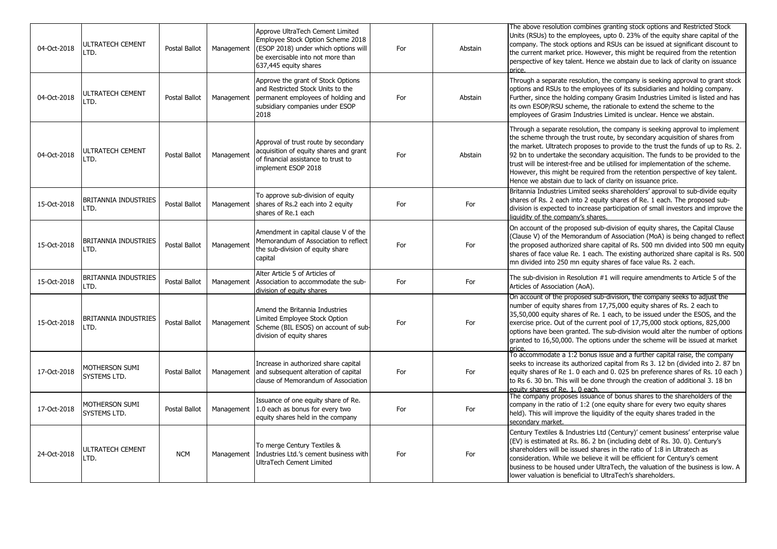| 04-Oct-2018 | <b>ULTRATECH CEMENT</b><br>LTD.     | <b>Postal Ballot</b> | Management | Approve UltraTech Cement Limited<br>Employee Stock Option Scheme 2018<br>(ESOP 2018) under which options will<br>be exercisable into not more than<br>637,445 equity shares | For | Abstain | The above resolution combines granting stock options and Restricted Stock<br>Units (RSUs) to the employees, upto 0. 23% of the equity share capital of the<br>company. The stock options and RSUs can be issued at significant discount to<br>the current market price. However, this might be required from the retention<br>perspective of key talent. Hence we abstain due to lack of clarity on issuance<br>price.                                                                                                                                          |
|-------------|-------------------------------------|----------------------|------------|-----------------------------------------------------------------------------------------------------------------------------------------------------------------------------|-----|---------|-----------------------------------------------------------------------------------------------------------------------------------------------------------------------------------------------------------------------------------------------------------------------------------------------------------------------------------------------------------------------------------------------------------------------------------------------------------------------------------------------------------------------------------------------------------------|
| 04-Oct-2018 | ULTRATECH CEMENT<br>LTD.            | Postal Ballot        | Management | Approve the grant of Stock Options<br>and Restricted Stock Units to the<br>permanent employees of holding and<br>subsidiary companies under ESOP<br>2018                    | For | Abstain | Through a separate resolution, the company is seeking approval to grant stock<br>options and RSUs to the employees of its subsidiaries and holding company.<br>Further, since the holding company Grasim Industries Limited is listed and has<br>its own ESOP/RSU scheme, the rationale to extend the scheme to the<br>employees of Grasim Industries Limited is unclear. Hence we abstain.                                                                                                                                                                     |
| 04-Oct-2018 | <b>ULTRATECH CEMENT</b><br>LTD.     | Postal Ballot        | Management | Approval of trust route by secondary<br>acquisition of equity shares and grant<br>of financial assistance to trust to<br>implement ESOP 2018                                | For | Abstain | Through a separate resolution, the company is seeking approval to implement<br>the scheme through the trust route, by secondary acquisition of shares from<br>the market. Ultratech proposes to provide to the trust the funds of up to Rs. 2.<br>92 bn to undertake the secondary acquisition. The funds to be provided to the<br>trust will be interest-free and be utilised for implementation of the scheme.<br>However, this might be required from the retention perspective of key talent.<br>Hence we abstain due to lack of clarity on issuance price. |
| 15-Oct-2018 | <b>BRITANNIA INDUSTRIES</b><br>LTD. | Postal Ballot        | Management | To approve sub-division of equity<br>shares of Rs.2 each into 2 equity<br>shares of Re.1 each                                                                               | For | For     | Britannia Industries Limited seeks shareholders' approval to sub-divide equity<br>shares of Rs. 2 each into 2 equity shares of Re. 1 each. The proposed sub-<br>division is expected to increase participation of small investors and improve the<br>liquidity of the company's shares.                                                                                                                                                                                                                                                                         |
| 15-Oct-2018 | <b>BRITANNIA INDUSTRIES</b><br>LTD. | Postal Ballot        | Management | Amendment in capital clause V of the<br>Memorandum of Association to reflect<br>the sub-division of equity share<br>capital                                                 | For | For     | On account of the proposed sub-division of equity shares, the Capital Clause<br>(Clause V) of the Memorandum of Association (MoA) is being changed to reflect<br>the proposed authorized share capital of Rs. 500 mn divided into 500 mn equity<br>shares of face value Re. 1 each. The existing authorized share capital is Rs. 500<br>mn divided into 250 mn equity shares of face value Rs. 2 each.                                                                                                                                                          |
| 15-Oct-2018 | <b>BRITANNIA INDUSTRIES</b><br>LTD. | Postal Ballot        | Management | Alter Article 5 of Articles of<br>Association to accommodate the sub-<br>division of equity shares                                                                          | For | For     | The sub-division in Resolution #1 will require amendments to Article 5 of the<br>Articles of Association (AoA).                                                                                                                                                                                                                                                                                                                                                                                                                                                 |
| 15-Oct-2018 | <b>BRITANNIA INDUSTRIES</b><br>LTD. | Postal Ballot        | Management | Amend the Britannia Industries<br>Limited Employee Stock Option<br>Scheme (BIL ESOS) on account of sub-<br>division of equity shares                                        | For | For     | On account of the proposed sub-division, the company seeks to adjust the<br>number of equity shares from 17,75,000 equity shares of Rs. 2 each to<br>35,50,000 equity shares of Re. 1 each, to be issued under the ESOS, and the<br>exercise price. Out of the current pool of 17,75,000 stock options, 825,000<br>options have been granted. The sub-division would alter the number of options<br>granted to 16,50,000. The options under the scheme will be issued at market<br>nrice                                                                        |
| 17-Oct-2018 | MOTHERSON SUMI<br>SYSTEMS LTD.      | Postal Ballot        |            | Increase in authorized share capital<br>Management and subsequent alteration of capital<br>clause of Memorandum of Association                                              | For | For     | To accommodate a 1:2 bonus issue and a further capital raise, the company<br>seeks to increase its authorized capital from Rs 3. 12 bn (divided into 2. 87 bn<br>equity shares of Re 1. 0 each and 0. 025 bn preference shares of Rs. 10 each)<br>to Rs 6. 30 bn. This will be done through the creation of additional 3. 18 bn<br>equity shares of Re. 1. 0 each                                                                                                                                                                                               |
| 17-Oct-2018 | MOTHERSON SUMI<br>SYSTEMS LTD.      | Postal Ballot        | Management | Issuance of one equity share of Re.<br>1.0 each as bonus for every two<br>equity shares held in the company                                                                 | For | For     | The company proposes issuance of bonus shares to the shareholders of the<br>company in the ratio of 1:2 (one equity share for every two equity shares<br>held). This will improve the liquidity of the equity shares traded in the<br>secondary market.                                                                                                                                                                                                                                                                                                         |
| 24-Oct-2018 | <b>ULTRATECH CEMENT</b><br>LTD.     | <b>NCM</b>           | Management | To merge Century Textiles &<br>Industries Ltd.'s cement business with<br>UltraTech Cement Limited                                                                           | For | For     | Century Textiles & Industries Ltd (Century)' cement business' enterprise value<br>(EV) is estimated at Rs. 86. 2 bn (including debt of Rs. 30. 0). Century's<br>shareholders will be issued shares in the ratio of 1:8 in Ultratech as<br>consideration. While we believe it will be efficient for Century's cement<br>business to be housed under UltraTech, the valuation of the business is low. A<br>lower valuation is beneficial to UltraTech's shareholders.                                                                                             |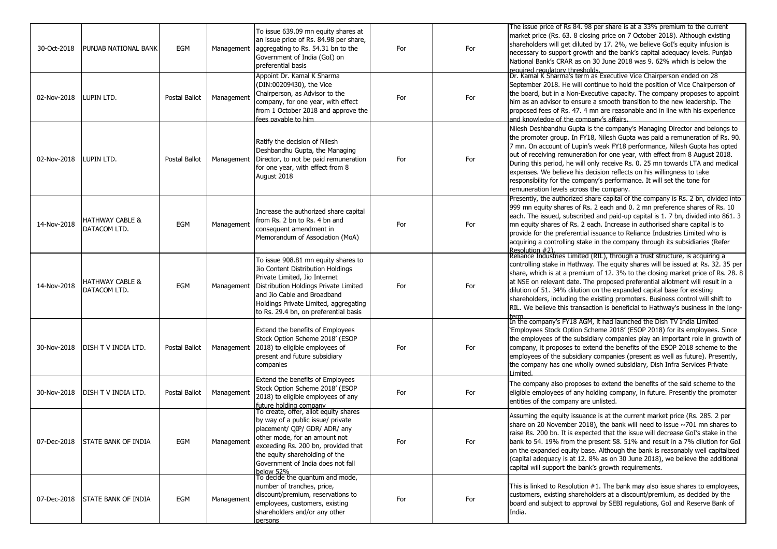| 30-Oct-2018 | PUNJAB NATIONAL BANK                       | EGM           | Management | To issue 639.09 mn equity shares at<br>an issue price of Rs. 84.98 per share,<br>aggregating to Rs. 54.31 bn to the<br>Government of India (GoI) on<br>preferential basis                                                                                               | For | For | The issue price of Rs 84. 98 per share is at a 33% premium to the current<br>market price (Rs. 63. 8 closing price on 7 October 2018). Although existing<br>shareholders will get diluted by 17. 2%, we believe GoI's equity infusion is<br>necessary to support growth and the bank's capital adequacy levels. Punjab<br>National Bank's CRAR as on 30 June 2018 was 9. 62% which is below the                                                                                                                                                                                                      |
|-------------|--------------------------------------------|---------------|------------|-------------------------------------------------------------------------------------------------------------------------------------------------------------------------------------------------------------------------------------------------------------------------|-----|-----|------------------------------------------------------------------------------------------------------------------------------------------------------------------------------------------------------------------------------------------------------------------------------------------------------------------------------------------------------------------------------------------------------------------------------------------------------------------------------------------------------------------------------------------------------------------------------------------------------|
| 02-Nov-2018 | LUPIN LTD.                                 | Postal Ballot | Management | Appoint Dr. Kamal K Sharma<br>(DIN:00209430), the Vice<br>Chairperson, as Advisor to the<br>company, for one year, with effect<br>from 1 October 2018 and approve the<br>fees pavable to him                                                                            | For | For | required requlatory thresholds.<br> Dr. Kamal K Sharma's term as Executive Vice Chairperson ended on 28<br>September 2018. He will continue to hold the position of Vice Chairperson of<br>the board, but in a Non-Executive capacity. The company proposes to appoint<br>him as an advisor to ensure a smooth transition to the new leadership. The<br>proposed fees of Rs. 47. 4 mn are reasonable and in line with his experience<br>and knowledge of the company's affairs.                                                                                                                      |
| 02-Nov-2018 | LUPIN LTD.                                 | Postal Ballot | Management | Ratify the decision of Nilesh<br>Deshbandhu Gupta, the Managing<br>Director, to not be paid remuneration<br>for one year, with effect from 8<br>August 2018                                                                                                             | For | For | Nilesh Deshbandhu Gupta is the company's Managing Director and belongs to<br>the promoter group. In FY18, Nilesh Gupta was paid a remuneration of Rs. 90.<br>7 mn. On account of Lupin's weak FY18 performance, Nilesh Gupta has opted<br>out of receiving remuneration for one year, with effect from 8 August 2018.<br>During this period, he will only receive Rs. 0. 25 mn towards LTA and medical<br>expenses. We believe his decision reflects on his willingness to take<br>responsibility for the company's performance. It will set the tone for<br>remuneration levels across the company. |
| 14-Nov-2018 | <b>HATHWAY CABLE &amp;</b><br>DATACOM LTD. | EGM           | Management | Increase the authorized share capital<br>from Rs. 2 bn to Rs. 4 bn and<br>consequent amendment in<br>Memorandum of Association (MoA)                                                                                                                                    | For | For | Presently, the authorized share capital of the company is Rs. 2 bn, divided into<br>999 mn equity shares of Rs. 2 each and 0. 2 mn preference shares of Rs. 10<br>each. The issued, subscribed and paid-up capital is 1. 7 bn, divided into 861. 3<br>mn equity shares of Rs. 2 each. Increase in authorised share capital is to<br>provide for the preferential issuance to Reliance Industries Limited who is<br>acquiring a controlling stake in the company through its subsidiaries (Refer<br> Resolution #2).<br> Reliance Industries Limited (RIL), through a trust structure, is acquiring a |
| 14-Nov-2018 | <b>HATHWAY CABLE &amp;</b><br>DATACOM LTD. | EGM           | Management | To issue 908.81 mn equity shares to<br>Jio Content Distribution Holdings<br>Private Limited, Jio Internet<br>Distribution Holdings Private Limited<br>and Jio Cable and Broadband<br>Holdings Private Limited, aggregating<br>to Rs. 29.4 bn, on preferential basis     | For | For | controlling stake in Hathway. The equity shares will be issued at Rs. 32. 35 per<br>share, which is at a premium of 12. 3% to the closing market price of Rs. 28. 8<br>at NSE on relevant date. The proposed preferential allotment will result in a<br>dilution of 51. 34% dilution on the expanded capital base for existing<br>shareholders, including the existing promoters. Business control will shift to<br>RIL. We believe this transaction is beneficial to Hathway's business in the long-                                                                                                |
| 30-Nov-2018 | DISH TV INDIA LTD.                         | Postal Ballot | Management | Extend the benefits of Employees<br>Stock Option Scheme 2018' (ESOP<br>2018) to eligible employees of<br>present and future subsidiary<br>companies                                                                                                                     | For | For | In the company's FY18 AGM, it had launched the Dish TV India Limited<br>'Employees Stock Option Scheme 2018' (ESOP 2018) for its employees. Since<br>the employees of the subsidiary companies play an important role in growth of<br>company, it proposes to extend the benefits of the ESOP 2018 scheme to the<br>employees of the subsidiary companies (present as well as future). Presently,<br>the company has one wholly owned subsidiary, Dish Infra Services Private<br>I imited                                                                                                            |
| 30-Nov-2018 | DISH T V INDIA LTD.                        | Postal Ballot | Management | Extend the benefits of Employees<br>Stock Option Scheme 2018' (ESOP<br>2018) to eligible employees of any<br>future holding company                                                                                                                                     | For | For | The company also proposes to extend the benefits of the said scheme to the<br>eligible employees of any holding company, in future. Presently the promoter<br>entities of the company are unlisted.                                                                                                                                                                                                                                                                                                                                                                                                  |
| 07-Dec-2018 | <b>STATE BANK OF INDIA</b>                 | EGM           | Management | To create, offer, allot equity shares<br>by way of a public issue/ private<br>placement/ QIP/ GDR/ ADR/ any<br>other mode, for an amount not<br>exceeding Rs. 200 bn, provided that<br>the equity shareholding of the<br>Government of India does not fall<br>below 52% | For | For | Assuming the equity issuance is at the current market price (Rs. 285. 2 per<br>share on 20 November 2018), the bank will need to issue $\sim$ 701 mn shares to<br>raise Rs, 200 bn. It is expected that the issue will decrease GoI's stake in the<br>bank to 54. 19% from the present 58. 51% and result in a 7% dilution for GoI<br>on the expanded equity base. Although the bank is reasonably well capitalized<br>(capital adequacy is at 12. 8% as on 30 June 2018), we believe the additional<br>capital will support the bank's growth requirements.                                         |
| 07-Dec-2018 | <b>STATE BANK OF INDIA</b>                 | EGM           | Management | To decide the quantum and mode,<br>number of tranches, price,<br>discount/premium, reservations to<br>employees, customers, existing<br>shareholders and/or any other<br>persons                                                                                        | For | For | This is linked to Resolution #1. The bank may also issue shares to employees,<br>customers, existing shareholders at a discount/premium, as decided by the<br>board and subject to approval by SEBI regulations, GoI and Reserve Bank of<br>India.                                                                                                                                                                                                                                                                                                                                                   |